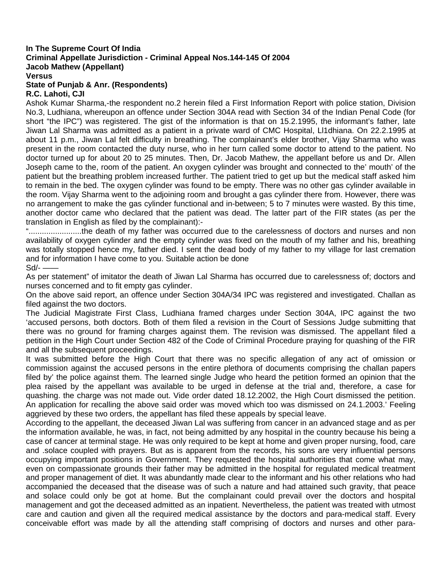#### **In The Supreme Court Of India Criminal Appellate Jurisdiction - Criminal Appeal Nos.144-145 Of 2004 Jacob Mathew (Appellant) Versus**

## **State of Punjab & Anr. (Respondents)**

#### **R.C. Lahoti, CJI**

Ashok Kumar Sharma,-the respondent no.2 herein filed a First Information Report with police station, Division No.3, Ludhiana, whereupon an offence under Section 304A read with Section 34 of the Indian Penal Code (for short "the IPC") was registered. The gist of the information is that on 15.2.1995, the informant's father, late Jiwan Lal Sharma was admitted as a patient in a private ward of CMC Hospital, Ll1dhiana. On 22.2.1995 at about 11 p.m., Jiwan Lal felt difficulty in breathing. The complainant's elder brother, Vijay Sharma who was present in the room contacted the duty nurse, who in her turn called some doctor to attend to the patient. No doctor turned up for about 20 to 25 minutes. Then, Dr. Jacob Mathew, the appellant before us and Dr. Allen Joseph came to the, room of the patient. An oxygen cylinder was brought and connected to the' mouth' of the patient but the breathing problem increased further. The patient tried to get up but the medical staff asked him to remain in the bed. The oxygen cylinder was found to be empty. There was no other gas cylinder available in the room. Vijay Sharma went to the adjoining room and brought a gas cylinder there from. However, there was no arrangement to make the gas cylinder functional and in-between; 5 to 7 minutes were wasted. By this time, another doctor came who declared that the patient was dead. The latter part of the FIR states (as per the translation in English as filed by the complainant):-

".............................the death of my father was occurred due to the carelessness of doctors and nurses and non availability of oxygen cylinder and the empty cylinder was fixed on the mouth of my father and his, breathing was totally stopped hence my, father died. I sent the dead body of my father to my village for last cremation and for information I have come to you. Suitable action be done  $Sd$  -  $-$ 

As per statement" of imitator the death of Jiwan Lal Sharma has occurred due to carelessness of; doctors and nurses concerned and to fit empty gas cylinder.

On the above said report, an offence under Section 304A/34 IPC was registered and investigated. Challan as filed against the two doctors.

The Judicial Magistrate First Class, Ludhiana framed charges under Section 304A, IPC against the two 'accused persons, both doctors. Both of them filed a revision in the Court of Sessions Judge submitting that there was no ground for framing charges against them. The revision was dismissed. The appellant filed a petition in the High Court under Section 482 of the Code of Criminal Procedure praying for quashing of the FIR and all the subsequent proceedings.

It was submitted before the High Court that there was no specific allegation of any act of omission or commission against the accused persons in the entire plethora of documents comprising the challan papers filed by' the police against them. The learned single Judge who heard the petition formed an opinion that the plea raised by the appellant was available to be urged in defense at the trial and, therefore, a case for quashing. the charge was not made out. Vide order dated 18.12.2002, the High Court dismissed the petition. An application for recalling the above said order was moved which too was dismissed on 24.1.2003.' Feeling aggrieved by these two orders, the appellant has filed these appeals by special leave.

According to the appellant, the deceased Jiwan Lal was suffering from cancer in an advanced stage and as per the information available, he was, in fact, not being admitted by any hospital in the country because his being a case of cancer at terminal stage. He was only required to be kept at home and given proper nursing, food, care and .solace coupled with prayers. But as is apparent from the records, his sons are very influential persons occupying important positions in Government. They requested the hospital authorities that come what may, even on compassionate grounds their father may be admitted in the hospital for regulated medical treatment and proper management of diet. It was abundantly made clear to the informant and his other relations who had accompanied the deceased that the disease was of such a nature and had attained such gravity, that peace and solace could only be got at home. But the complainant could prevail over the doctors and hospital management and got the deceased admitted as an inpatient. Nevertheless, the patient was treated with utmost care and caution and given all the required medical assistance by the doctors and para-medical staff. Every conceivable effort was made by all the attending staff comprising of doctors and nurses and other para-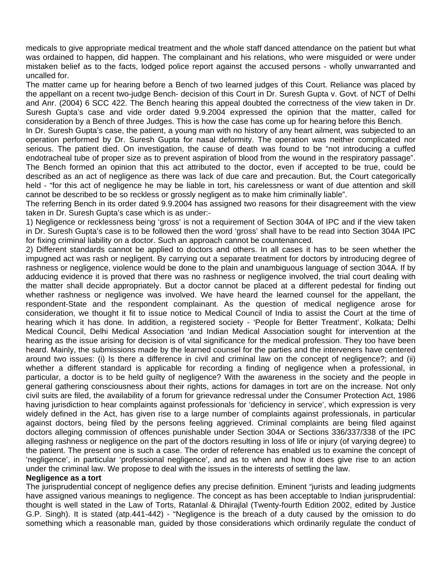medicals to give appropriate medical treatment and the whole staff danced attendance on the patient but what was ordained to happen, did happen. The complainant and his relations, who were misguided or were under mistaken belief as to the facts, lodged police report against the accused persons - wholly unwarranted and uncalled for.

The matter came up for hearing before a Bench of two learned judges of this Court. Reliance was placed by the appellant on a recent two-judge Bench- decision of this Court in Dr. Suresh Gupta v. Govt. of NCT of Delhi and Anr. (2004) 6 SCC 422. The Bench hearing this appeal doubted the correctness of the view taken in Dr. Suresh Gupta's case and vide order dated 9.9.2004 expressed the opinion that the matter, called for consideration by a Bench of three Judges. This is how the case has come up for hearing before this Bench.

In Dr. Suresh Gupta's case, the patient, a young man with no history of any heart ailment, was subjected to an operation performed by Dr. Suresh Gupta for nasal deformity. The operation was neither complicated nor serious. The patient died. On investigation, the cause of death was found to be "not introducing a cuffed endotracheal tube of proper size as to prevent aspiration of blood from the wound in the respiratory passage". The Bench formed an opinion that this act attributed to the doctor, even if accepted to be true, could be described as an act of negligence as there was lack of due care and precaution. But, the Court categorically held - "for this act of negligence he may be liable in tort, his carelessness or want of due attention and skill cannot be described to be so reckless or grossly negligent as to make him criminally liable".

The referring Bench in its order dated 9.9.2004 has assigned two reasons for their disagreement with the view taken in Dr. Suresh Gupta's case which is as under:-

1) Negligence or recklessness being 'gross' is not a requirement of Section 304A of IPC and if the view taken in Dr. Suresh Gupta's case is to be followed then the word 'gross' shall have to be read into Section 304A IPC for fixing criminal liability on a doctor. Such an approach cannot be countenanced.

2) Different standards cannot be applied to doctors and others. In all cases it has to be seen whether the impugned act was rash or negligent. By carrying out a separate treatment for doctors by introducing degree of rashness or negligence, violence would be done to the plain and unambiguous language of section 304A. If by adducing evidence it is proved that there was no rashness or negligence involved, the trial court dealing with the matter shall decide appropriately. But a doctor cannot be placed at a different pedestal for finding out whether rashness or negligence was involved. We have heard the learned counsel for the appellant, the respondent-State and the respondent complainant. As the question of medical negligence arose for consideration, we thought it fit to issue notice to Medical Council of India to assist the Court at the time of hearing which it has done. In addition, a registered society - 'People for Better Treatment', Kolkata; Delhi Medical Council, Delhi Medical Association 'and Indian Medical Association sought for intervention at the hearing as the issue arising for decision is of vital significance for the medical profession. They too have been heard. Mainly, the submissions made by the learned counsel for the parties and the interveners have centered around two issues: (i) Is there a difference in civil and criminal law on the concept of negligence?; and (ii) whether a different standard is applicable for recording a finding of negligence when a professional, in particular, a doctor is to be held guilty of negligence? With the awareness in the society and the people in general gathering consciousness about their rights, actions for damages in tort are on the increase. Not only civil suits are filed, the availability of a forum for grievance redressal under the Consumer Protection Act, 1986 having jurisdiction to hear complaints against professionals for 'deficiency in service', which expression is very widely defined in the Act, has given rise to a large number of complaints against professionals, in particular against doctors, being filed by the persons feeling aggrieved. Criminal complaints are being filed against doctors alleging commission of offences punishable under Section 304A or Sections 336/337/338 of the IPC alleging rashness or negligence on the part of the doctors resulting in loss of life or injury (of varying degree) to the patient. The present one is such a case. The order of reference has enabled us to examine the concept of 'negligence', in particular 'professional negligence', and as to when and how it does give rise to an action under the criminal law. We propose to deal with the issues in the interests of settling the law.

# **Negligence as a tort**

The jurisprudential concept of negligence defies any precise definition. Eminent "jurists and leading judgments have assigned various meanings to negligence. The concept as has been acceptable to Indian jurisprudential: thought is well stated in the Law of Torts, Ratanlal & Dhirajlal (Twenty-fourth Edition 2002, edited by Justice G.P. Singh). It is stated (atp.441-442) - "Negligence is the breach of a duty caused by the omission to do something which a reasonable man, guided by those considerations which ordinarily regulate the conduct of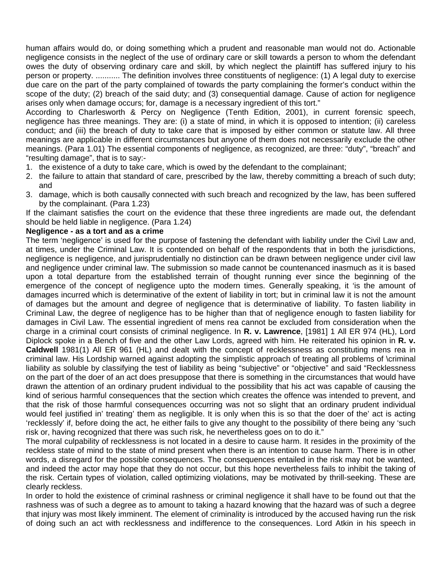human affairs would do, or doing something which a prudent and reasonable man would not do. Actionable negligence consists in the neglect of the use of ordinary care or skill towards a person to whom the defendant owes the duty of observing ordinary care and skill, by which neglect the plaintiff has suffered injury to his person or property. ........... The definition involves three constituents of negligence: (1) A legal duty to exercise due care on the part of the party complained of towards the party complaining the former's conduct within the scope of the duty; (2) breach of the said duty; and (3) consequential damage. Cause of action for negligence arises only when damage occurs; for, damage is a necessary ingredient of this tort."

According to Charlesworth & Percy on Negligence (Tenth Edition, 2001), in current forensic speech, negligence has three meanings. They are: (i) a state of mind, in which it is opposed to intention; (ii) careless conduct; and (iii) the breach of duty to take care that is imposed by either common or statute law. All three meanings are applicable in different circumstances but anyone of them does not necessarily exclude the other meanings. (Para 1.01) The essential components of negligence, as recognized, are three: "duty", "breach" and "resulting damage", that is to say:-

- 1. the existence of a duty to take care, which is owed by the defendant to the complainant;
- 2. the failure to attain that standard of care, prescribed by the law, thereby committing a breach of such duty; and
- 3. damage, which is both causally connected with such breach and recognized by the law, has been suffered by the complainant. (Para 1.23)

If the claimant satisfies the court on the evidence that these three ingredients are made out, the defendant should be held liable in negligence. (Para 1.24)

# **Negligence - as a tort and as a crime**

The term 'negligence' is used for the purpose of fastening the defendant with liability under the Civil Law and, at times, under the Criminal Law. It is contended on behalf of the respondents that in both the jurisdictions, negligence is negligence, and jurisprudentially no distinction can be drawn between negligence under civil law and negligence under criminal law. The submission so made cannot be countenanced inasmuch as it is based upon a total departure from the established terrain of thought running ever since the beginning of the emergence of the concept of negligence upto the modern times. Generally speaking, it 'is the amount of damages incurred which is determinative of the extent of liability in tort; but in criminal law it is not the amount of damages but the amount and degree of negligence that is determinative of liability. To fasten liability in Criminal Law, the degree of negligence has to be higher than that of negligence enough to fasten liability for damages in Civil Law. The essential ingredient of mens rea cannot be excluded from consideration when the charge in a criminal court consists of criminal negligence. In **R. v. Lawrence**, [1981] 1 All ER 974 (HL), Lord Diplock spoke in a Bench of five and the other Law Lords, agreed with him. He reiterated his opinion in **R. v. Caldwell** 1981(1) All ER 961 (HL) and dealt with the concept of recklessness as constituting mens rea in criminal law. His Lordship warned against adopting the simplistic approach of treating all problems of \criminal liability as soluble by classifying the test of liability as being "subjective" or "objective" and said "Recklessness on the part of the doer of an act does presuppose that there is something in the circumstances that would have drawn the attention of an ordinary prudent individual to the possibility that his act was capable of causing the kind of serious harmful consequences that the section which creates the offence was intended to prevent, and that the risk of those harmful consequences occurring was not so slight that an ordinary prudent individual would feel justified in' treating' them as negligible. It is only when this is so that the doer of the' act is acting 'recklessly' if, before doing the act, he either fails to give any thought to the possibility of there being any 'such risk or, having recognized that there was such risk, he nevertheless goes on to do it."

The moral culpability of recklessness is not located in a desire to cause harm. It resides in the proximity of the reckless state of mind to the state of mind present when there is an intention to cause harm. There is in other words, a disregard for the possible consequences. The consequences entailed in the risk may not be wanted, and indeed the actor may hope that they do not occur, but this hope nevertheless fails to inhibit the taking of the risk. Certain types of violation, called optimizing violations, may be motivated by thrill-seeking. These are clearly reckless.

In order to hold the existence of criminal rashness or criminal negligence it shall have to be found out that the rashness was of such a degree as to amount to taking a hazard knowing that the hazard was of such a degree that injury was most likely imminent. The element of criminality is introduced by the accused having run the risk of doing such an act with recklessness and indifference to the consequences. Lord Atkin in his speech in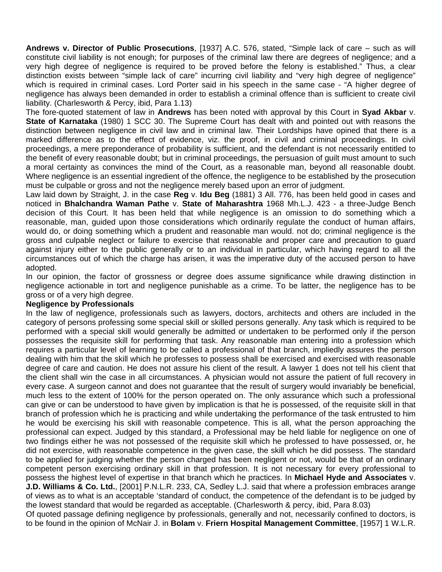**Andrews v. Director of Public Prosecutions**, [1937] A.C. 576, stated, "Simple lack of care – such as will constitute civil liability is not enough; for purposes of the criminal law there are degrees of negligence; and a very high degree of negligence is required to be proved before the felony is established." Thus, a clear distinction exists between "simple lack of care" incurring civil liability and "very high degree of negligence" which is required in criminal cases. Lord Porter said in his speech in the same case - "A higher degree of negligence has always been demanded in order to establish a criminal offence than is sufficient to create civil liability. (Charlesworth & Percy, ibid, Para 1.13)

The fore-quoted statement of law in **Andrews** has been noted with approval by this Court in **Syad Akbar** v. **State of Karnataka** (1980) 1 SCC 30. The Supreme Court has dealt with and pointed out with reasons the distinction between negligence in civil law and in criminal law. Their Lordships have opined that there is a marked difference as to the effect of evidence, viz. the proof, in civil and criminal proceedings. In civil proceedings, a mere preponderance of probability is sufficient, and the defendant is not necessarily entitled to the benefit of every reasonable doubt; but in criminal proceedings, the persuasion of guilt must amount to such a moral certainty as convinces the mind of the Court, as a reasonable man, beyond all reasonable doubt. Where negligence is an essential ingredient of the offence, the negligence to be established by the prosecution must be culpable or gross and not the negligence merely based upon an error of judgment.

Law laid down by Straight, J. in the case **Reg** v. **Idu Beg** (1881) 3 All. 776, has been held good in cases and noticed in **Bhalchandra Waman Pathe** v. **State of Maharashtra** 1968 Mh.L.J. 423 - a three-Judge Bench decision of this Court. It has been held that while negligence is an omission to do something which a reasonable, man, guided upon those considerations which ordinarily regulate the conduct of human affairs, would do, or doing something which a prudent and reasonable man would. not do; criminal negligence is the gross and culpable neglect or failure to exercise that reasonable and proper care and precaution to guard against injury either to the public generally or to an individual in particular, which having regard to all the circumstances out of which the charge has arisen, it was the imperative duty of the accused person to have adopted.

In our opinion, the factor of grossness or degree does assume significance while drawing distinction in negligence actionable in tort and negligence punishable as a crime. To be latter, the negligence has to be gross or of a very high degree.

#### **Negligence by Professionals**

In the law of negligence, professionals such as lawyers, doctors, architects and others are included in the category of persons professing some special skill or skilled persons generally. Any task which is required to be performed with a special skill would generally be admitted or undertaken to be performed only if the person possesses the requisite skill for performing that task. Any reasonable man entering into a profession which requires a particular level of learning to be called a professional of that branch, impliedly assures the person dealing with him that the skill which he professes to possess shall be exercised and exercised with reasonable degree of care and caution. He does not assure his client of the result. A lawyer 1 does not tell his client that the client shall win the case in all circumstances. A physician would not assure the patient of full recovery in every case. A surgeon cannot and does not guarantee that the result of surgery would invariably be beneficial, much less to the extent of 100% for the person operated on. The only assurance which such a professional can give or can be understood to have given by implication is that he is possessed, of the requisite skill in that branch of profession which he is practicing and while undertaking the performance of the task entrusted to him he would be exercising his skill with reasonable competence. This is all, what the person approaching the professional can expect. Judged by this standard, a Professional may be held liable for negligence on one of two findings either he was not possessed of the requisite skill which he professed to have possessed, or, he did not exercise, with reasonable competence in the given case, the skill which he did possess. The standard to be applied for judging whether the person charged has been negligent or not, would be that of an ordinary competent person exercising ordinary skill in that profession. It is not necessary for every professional to possess the highest level of expertise in that branch which he practices. In **Michael Hyde and Associates** v. **J.D. Williams & Co. Ltd.**, [2001] P.N.L.R. 233, CA, Sedley L.J. said that where a profession embraces arange of views as to what is an acceptable 'standard of conduct, the competence of the defendant is to be judged by the lowest standard that would be regarded as acceptable. (Charlesworth & percy, ibid, Para 8.03)

Of quoted passage defining negligence by professionals, generally and not, necessarily confined to doctors, is to be found in the opinion of McNair J. in **Bolam** v. **Friern Hospital Management Committee**, [1957] 1 W.L.R.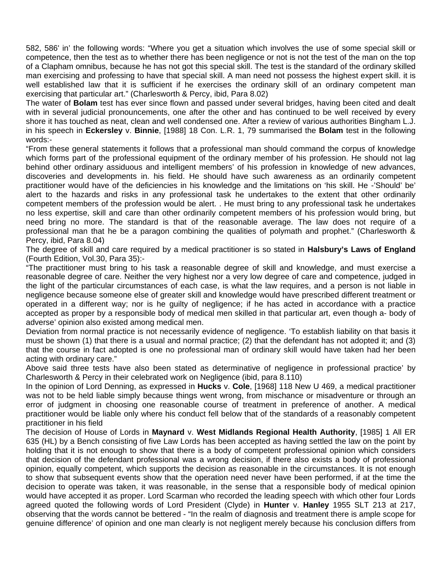582, 586' in' the following words: "Where you get a situation which involves the use of some special skill or competence, then the test as to whether there has been negligence or not is not the test of the man on the top of a Clapham omnibus, because he has not got this special skill. The test is the standard of the ordinary skilled man exercising and professing to have that special skill. A man need not possess the highest expert skill. it is well established law that it is sufficient if he exercises the ordinary skill of an ordinary competent man exercising that particular art." (Charlesworth & Percy, ibid, Para 8.02)

The water of **Bolam** test has ever since flown and passed under several bridges, having been cited and dealt with in several judicial pronouncements, one after the other and has continued to be well received by every shore it has touched as neat, clean and well condensed one. After a review of various authorities Bingham L.J. in his speech in **Eckersley** v. **Binnie**, [1988] 18 Con. L.R. 1, 79 summarised the **Bolam** test in the following words:-

"From these general statements it follows that a professional man should command the corpus of knowledge which forms part of the professional equipment of the ordinary member of his profession. He should not lag behind other ordinary assiduous and intelligent members' of his profession in knowledge of new advances, discoveries and developments in. his field. He should have such awareness as an ordinarily competent practitioner would have of the deficiencies in his knowledge and the limitations on 'his skill. He -'Should' be' alert to the hazards and risks in any professional task he undertakes to the extent that other ordinarily competent members of the profession would be alert. . He must bring to any professional task he undertakes no less expertise, skill and care than other ordinarily competent members of his profession would bring, but need bring no more. The standard is that of the reasonable average. The law does not require of a professional man that he be a paragon combining the qualities of polymath and prophet." (Charlesworth & Percy, ibid, Para 8.04)

The degree of skill and care required by a medical practitioner is so stated in **Halsbury's Laws of England**  (Fourth Edition, Vol.30, Para 35):-

"The practitioner must bring to his task a reasonable degree of skill and knowledge, and must exercise a reasonable degree of care. Neither the very highest nor a very low degree of care and competence, judged in the light of the particular circumstances of each case, is what the law requires, and a person is not liable in negligence because someone else of greater skill and knowledge would have prescribed different treatment or operated in a different way; nor is he guilty of negligence; if he has acted in accordance with a practice accepted as proper by a responsible body of medical men skilled in that particular art, even though a- body of adverse' opinion also existed among medical men.

Deviation from normal practice is not necessarily evidence of negligence. 'To establish liability on that basis it must be shown (1) that there is a usual and normal practice; (2) that the defendant has not adopted it; and (3) that the course in fact adopted is one no professional man of ordinary skill would have taken had her been acting with ordinary care."

Above said three tests have also been stated as determinative of negligence in professional practice' by Charlesworth & Percy in their celebrated work on Negligence (ibid, para 8.110)

In the opinion of Lord Denning, as expressed in **Hucks** v. **Cole**, [1968] 118 New U 469, a medical practitioner was not to be held liable simply because things went wrong, from mischance or misadventure or through an error of judgment in choosing one reasonable course of treatment in preference of another. A medical practitioner would be liable only where his conduct fell below that of the standards of a reasonably competent practitioner in his field

The decision of House of Lords in **Maynard** v. **West Midlands Regional Health Authority**, [1985] 1 All ER 635 (HL) by a Bench consisting of five Law Lords has been accepted as having settled the law on the point by holding that it is not enough to show that there is a body of competent professional opinion which considers that decision of the defendant professional was a wrong decision, if there also exists a body of professional opinion, equally competent, which supports the decision as reasonable in the circumstances. It is not enough to show that subsequent events show that the operation need never have been performed, if at the time the decision to operate was taken, it was reasonable, in the sense that a responsible body of medical opinion would have accepted it as proper. Lord Scarman who recorded the leading speech with which other four Lords agreed quoted the following words of Lord President (Clyde) in **Hunter** v. **Hanley** 1955 SLT 213 at 217, observing that the words cannot be bettered - "In the realm of diagnosis and treatment there is ample scope for genuine difference' of opinion and one man clearly is not negligent merely because his conclusion differs from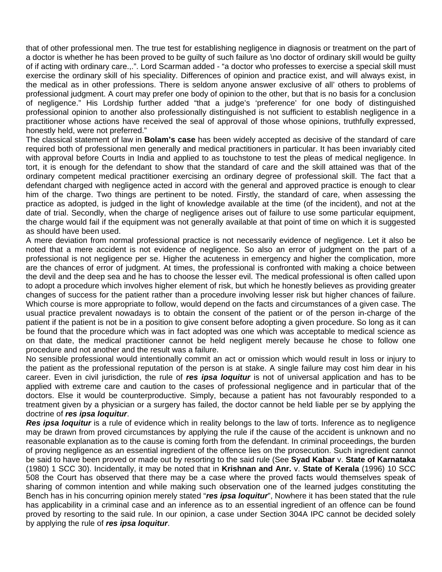that of other professional men. The true test for establishing negligence in diagnosis or treatment on the part of a doctor is whether he has been proved to be guilty of such failure as \no doctor of ordinary skill would be guilty of if acting with ordinary care.,.". Lord Scarman added - "a doctor who professes to exercise a special skill must exercise the ordinary skill of his speciality. Differences of opinion and practice exist, and will always exist, in the medical as in other professions. There is seldom anyone answer exclusive of all' others to problems of professional judgment. A court may prefer one body of opinion to the other, but that is no basis for a conclusion of negligence." His Lordship further added "that a judge's 'preference' for one body of distinguished professional opinion to another also professionally distinguished is not sufficient to establish negligence in a practitioner whose actions have received the seal of approval of those whose opinions, truthfully expressed, honestly held, were not preferred."

The classical statement of law in **Bolam's case** has been widely accepted as decisive of the standard of care required both of professional men generally and medical practitioners in particular. It has been invariably cited with approval before Courts in India and applied to as touchstone to test the pleas of medical negligence. In tort, it is enough for the defendant to show that the standard of care and the skill attained was that of the ordinary competent medical practitioner exercising an ordinary degree of professional skill. The fact that a defendant charged with negligence acted in accord with the general and approved practice is enough to clear him of the charge. Two things are pertinent to be noted. Firstly, the standard of care, when assessing the practice as adopted, is judged in the light of knowledge available at the time (of the incident), and not at the date of trial. Secondly, when the charge of negligence arises out of failure to use some particular equipment, the charge would fail if the equipment was not generally available at that point of time on which it is suggested as should have been used.

A mere deviation from normal professional practice is not necessarily evidence of negligence. Let it also be noted that a mere accident is not evidence of negligence. So also an error of judgment on the part of a professional is not negligence per se. Higher the acuteness in emergency and higher the complication, more are the chances of error of judgment. At times, the professional is confronted with making a choice between the devil and the deep sea and he has to choose the lesser evil. The medical professional is often called upon to adopt a procedure which involves higher element of risk, but which he honestly believes as providing greater changes of success for the patient rather than a procedure involving lesser risk but higher chances of failure. Which course is more appropriate to follow, would depend on the facts and circumstances of a given case. The usual practice prevalent nowadays is to obtain the consent of the patient or of the person in-charge of the patient if the patient is not be in a position to give consent before adopting a given procedure. So long as it can be found that the procedure which was in fact adopted was one which was acceptable to medical science as on that date, the medical practitioner cannot be held negligent merely because he chose to follow one procedure and not another and the result was a failure.

No sensible professional would intentionally commit an act or omission which would result in loss or injury to the patient as the professional reputation of the person is at stake. A single failure may cost him dear in his career. Even in civil jurisdiction, the rule of *res ipsa loquitur* is not of universal application and has to be applied with extreme care and caution to the cases of professional negligence and in particular that of the doctors. Else it would be counterproductive. Simply, because a patient has not favourably responded to a treatment given by a physician or a surgery has failed, the doctor cannot be held liable per se by applying the doctrine of *res ipsa loquitur*.

*Res ipsa loquitur* is a rule of evidence which in reality belongs to the law of torts. Inference as to negligence may be drawn from proved circumstances by applying the rule if the cause of the accident is unknown and no reasonable explanation as to the cause is coming forth from the defendant. In criminal proceedings, the burden of proving negligence as an essential ingredient of the offence lies on the prosecution. Such ingredient cannot be said to have been proved or made out by resorting to the said rule (See **Syad Kabar** v. **State of Karnataka**  (1980) 1 SCC 30). Incidentally, it may be noted that in **Krishnan and Anr.** v. **State of Kerala** (1996) 10 SCC 508 the Court has observed that there may be a case where the proved facts would themselves speak of sharing of common intention and while making such observation one of the learned judges constituting the Bench has in his concurring opinion merely stated "*res ipsa loquitur*", Nowhere it has been stated that the rule has applicability in a criminal case and an inference as to an essential ingredient of an offence can be found proved by resorting to the said rule. In our opinion, a case under Section 304A IPC cannot be decided solely by applying the rule of *res ipsa loquitur*.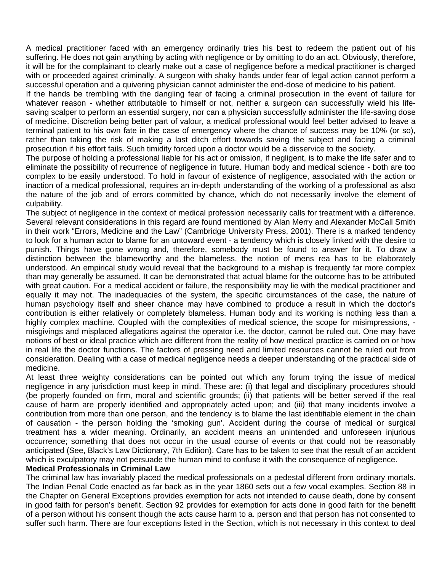A medical practitioner faced with an emergency ordinarily tries his best to redeem the patient out of his suffering. He does not gain anything by acting with negligence or by omitting to do an act. Obviously, therefore, it will be for the complainant to clearly make out a case of negligence before a medical practitioner is charged with or proceeded against criminally. A surgeon with shaky hands under fear of legal action cannot perform a successful operation and a quivering physician cannot administer the end-dose of medicine to his patient.

If the hands be trembling with the dangling fear of facing a criminal prosecution in the event of failure for whatever reason - whether attributable to himself or not, neither a surgeon can successfully wield his lifesaving scalper to perform an essential surgery, nor can a physician successfully administer the life-saving dose of medicine. Discretion being better part of valour, a medical professional would feel better advised to leave a terminal patient to his own fate in the case of emergency where the chance of success may be 10% (or so), rather than taking the risk of making a last ditch effort towards saving the subject and facing a criminal prosecution if his effort fails. Such timidity forced upon a doctor would be a disservice to the society.

The purpose of holding a professional liable for his act or omission, if negligent, is to make the life safer and to eliminate the possibility of recurrence of negligence in future. Human body and medical science - both are too complex to be easily understood. To hold in favour of existence of negligence, associated with the action or inaction of a medical professional, requires an in-depth understanding of the working of a professional as also the nature of the job and of errors committed by chance, which do not necessarily involve the element of culpability.

The subject of negligence in the context of medical profession necessarily calls for treatment with a difference. Several relevant considerations in this regard are found mentioned by Alan Merry and Alexander McCall Smith in their work "Errors, Medicine and the Law" (Cambridge University Press, 2001). There is a marked tendency to look for a human actor to blame for an untoward event - a tendency which is closely linked with the desire to punish. Things have gone wrong and, therefore, somebody must be found to answer for it. To draw a distinction between the blameworthy and the blameless, the notion of mens rea has to be elaborately understood. An empirical study would reveal that the background to a mishap is frequently far more complex than may generally be assumed. It can be demonstrated that actual blame for the outcome has to be attributed with great caution. For a medical accident or failure, the responsibility may lie with the medical practitioner and equally it may not. The inadequacies of the system, the specific circumstances of the case, the nature of human psychology itself and sheer chance may have combined to produce a result in which the doctor's contribution is either relatively or completely blameless. Human body and its working is nothing less than a highly complex machine. Coupled with the complexities of medical science, the scope for misimpressions, misgivings and misplaced allegations against the operator i.e. the doctor, cannot be ruled out. One may have notions of best or ideal practice which are different from the reality of how medical practice is carried on or how in real life the doctor functions. The factors of pressing need and limited resources cannot be ruled out from consideration. Dealing with a case of medical negligence needs a deeper understanding of the practical side of medicine.

At least three weighty considerations can be pointed out which any forum trying the issue of medical negligence in any jurisdiction must keep in mind. These are: (i) that legal and disciplinary procedures should (be properly founded on firm, moral and scientific grounds; (ii) that patients will be better served if the real cause of harm are properly identified and appropriately acted upon; and (iii) that many incidents involve a contribution from more than one person, and the tendency is to blame the last identifiable element in the chain of causation - the person holding the 'smoking gun'. Accident during the course of medical or surgical treatment has a wider meaning. Ordinarily, an accident means an unintended and unforeseen injurious occurrence; something that does not occur in the usual course of events or that could not be reasonably anticipated (See, Black's Law Dictionary, 7th Edition). Care has to be taken to see that the result of an accident which is exculpatory may not persuade the human mind to confuse it with the consequence of negligence.

#### **Medical Professionals in Criminal Law**

The criminal law has invariably placed the medical professionals on a pedestal different from ordinary mortals. The Indian Penal Code enacted as far back as in the year 1860 sets out a few vocal examples. Section 88 in the Chapter on General Exceptions provides exemption for acts not intended to cause death, done by consent in good faith for person's benefit. Section 92 provides for exemption for acts done in good faith for the benefit of a person without his consent though the acts cause harm to a. person and that person has not consented to suffer such harm. There are four exceptions listed in the Section, which is not necessary in this context to deal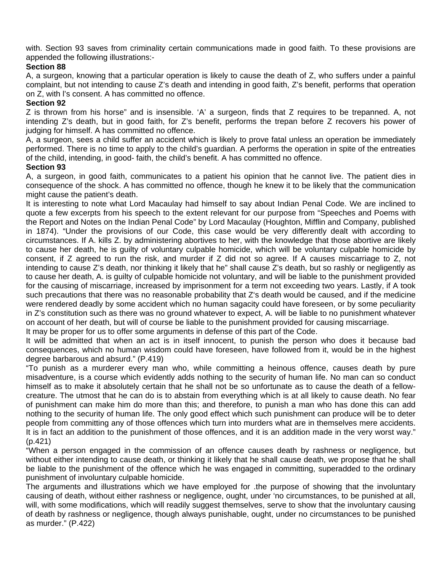with. Section 93 saves from criminality certain communications made in good faith. To these provisions are appended the following illustrations:-

# **Section 88**

A, a surgeon, knowing that a particular operation is likely to cause the death of Z, who suffers under a painful complaint, but not intending to cause Z's death and intending in good faith, Z's benefit, performs that operation on Z, with l's consent. A has committed no offence.

## **Section 92**

Z is thrown from his horse" and is insensible. 'A' a surgeon, finds that Z requires to be trepanned. A, not intending Z's death, but in good faith, for Z's benefit, performs the trepan before Z recovers his power of judging for himself. A has committed no offence.

A, a surgeon, sees a child suffer an accident which is likely to prove fatal unless an operation be immediately performed. There is no time to apply to the child's guardian. A performs the operation in spite of the entreaties of the child, intending, in good- faith, the child's benefit. A has committed no offence.

## **Section 93**

A, a surgeon, in good faith, communicates to a patient his opinion that he cannot live. The patient dies in consequence of the shock. A has committed no offence, though he knew it to be likely that the communication might cause the patient's death.

It is interesting to note what Lord Macaulay had himself to say about Indian Penal Code. We are inclined to quote a few excerpts from his speech to the extent relevant for our purpose from "Speeches and Poems with the Report and Notes on the Indian Penal Code" by Lord Macaulay (Houghton, Mifflin and Company, published in 1874). "Under the provisions of our Code, this case would be very differently dealt with according to circumstances. If A. kills Z. by administering abortives to her, with the knowledge that those abortive are likely to cause her death, he is guilty of voluntary culpable homicide, which will be voluntary culpable homicide by consent, if Z agreed to run the risk, and murder if Z did not so agree. If A causes miscarriage to Z, not intending to cause Z's death, nor thinking it likely that he" shall cause Z's death, but so rashly or negligently as to cause her death, A. is guilty of culpable homicide not voluntary, and will be liable to the punishment provided for the causing of miscarriage, increased by imprisonment for a term not exceeding two years. Lastly, if A took such precautions that there was no reasonable probability that Z's death would be caused, and if the medicine were rendered deadly by some accident which no human sagacity could have foreseen, or by some peculiarity in Z's constitution such as there was no ground whatever to expect, A. will be liable to no punishment whatever on account of her death, but will of course be liable to the punishment provided for causing miscarriage.

It may be proper for us to offer some arguments in defense of this part of the Code.

It will be admitted that when an act is in itself innocent, to punish the person who does it because bad consequences, which no human wisdom could have foreseen, have followed from it, would be in the highest degree barbarous and absurd." (P.419)

"To punish as a murderer every man who, while committing a heinous offence, causes death by pure misadventure, is a course which evidently adds nothing to the security of human life. No man can so conduct himself as to make it absolutely certain that he shall not be so unfortunate as to cause the death of a fellowcreature. The utmost that he can do is to abstain from everything which is at all likely to cause death. No fear of punishment can make him do more than this; and therefore, to punish a man who has done this can add nothing to the security of human life. The only good effect which such punishment can produce will be to deter people from committing any of those offences which turn into murders what are in themselves mere accidents. It is in fact an addition to the punishment of those offences, and it is an addition made in the very worst way." (p.421)

"When a person engaged in the commission of an offence causes death by rashness or negligence, but without either intending to cause death, or thinking it likely that he shall cause death, we propose that he shall be liable to the punishment of the offence which he was engaged in committing, superadded to the ordinary punishment of involuntary culpable homicide.

The arguments and illustrations which we have employed for .the purpose of showing that the involuntary causing of death, without either rashness or negligence, ought, under 'no circumstances, to be punished at all, will, with some modifications, which will readily suggest themselves, serve to show that the involuntary causing of death by rashness or negligence, though always punishable, ought, under no circumstances to be punished as murder." (P.422)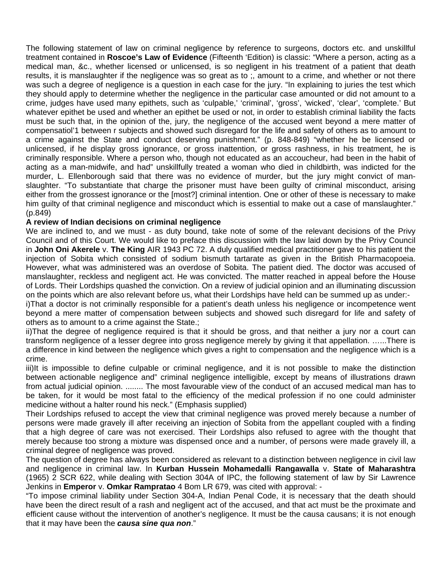The following statement of law on criminal negligence by reference to surgeons, doctors etc. and unskillful treatment contained in **Roscoe's Law of Evidence** (Fifteenth 'Edition) is classic: "Where a person, acting as a medical man, &c., whether licensed or unlicensed, is so negligent in his treatment of a patient that death results, it is manslaughter if the negligence was so great as to ;, amount to a crime, and whether or not there was such a degree of negligence is a question in each case for the jury. "In explaining to juries the test which they should apply to determine whether the negligence in the particular case amounted or did not amount to a crime, judges have used many epithets, such as 'culpable,' 'criminal', 'gross', 'wicked', 'clear', 'complete.' But whatever epithet be used and whether an epithet be used or not, in order to establish criminal liability the facts must be such that, in the opinion of the, jury, the negligence of the accused went beyond a mere matter of compensatiol'1 between r subjects and showed such disregard for the life and safety of others as to amount to a crime against the State and conduct deserving punishment." (p. 848-849) "whether he be licensed or unlicensed, if he display gross ignorance, or gross inattention, or gross rashness, in his treatment, he is criminally responsible. Where a person who, though not educated as an accoucheur, had been in the habit of acting as a man-midwife, and had" unskillfully treated a woman who died in childbirth, was indicted for the murder, L. Ellenborough said that there was no evidence of murder, but the jury might convict of manslaughter. "To substantiate that charge the prisoner must have been guilty of criminal misconduct, arising either from the grossest ignorance or the [most?] criminal intention. One or other of these is necessary to make him guilty of that criminal negligence and misconduct which is essential to make out a case of manslaughter." (p.849)

## **A review of Indian decisions on criminal negligence**

We are inclined to, and we must - as duty bound, take note of some of the relevant decisions of the Privy Council and of this Court. We would like to preface this discussion with the law laid down by the Privy Council in **John Oni Akerele** v. **The King** AIR 1943 PC 72. A duly qualified medical practitioner gave to his patient the injection of Sobita which consisted of sodium bismuth tartarate as given in the British Pharmacopoeia. However, what was administered was an overdose of Sobita. The patient died. The doctor was accused of manslaughter, reckless and negligent act. He was convicted. The matter reached in appeal before the House of Lords. Their Lordships quashed the conviction. On a review of judicial opinion and an illuminating discussion on the points which are also relevant before us, what their Lordships have held can be summed up as under:-

i)That a doctor is not criminally responsible for a patient's death unless his negligence or incompetence went beyond a mere matter of compensation between subjects and showed such disregard for life and safety of others as to amount to a crime against the State.;

ii)That the degree of negligence required is that it should be gross, and that neither a jury nor a court can transform negligence of a lesser degree into gross negligence merely by giving it that appellation. …...There is a difference in kind between the negligence which gives a right to compensation and the negligence which is a crime.

iii)It is impossible to define culpable or criminal negligence, and it is not possible to make the distinction between actionable negligence and" criminal negligence intelligible, except by means of illustrations drawn from actual judicial opinion. ........ The most favourable view of the conduct of an accused medical man has to be taken, for it would be most fatal to the efficiency of the medical profession if no one could administer medicine without a halter round his neck." (Emphasis supplied)

Their Lordships refused to accept the view that criminal negligence was proved merely because a number of persons were made gravely ill after receiving an injection of Sobita from the appellant coupled with a finding that a high degree of care was not exercised. Their Lordships also refused to agree with the thought that merely because too strong a mixture was dispensed once and a number, of persons were made gravely ill, a criminal degree of negligence was proved.

The question of degree has always been considered as relevant to a distinction between negligence in civil law and negligence in criminal law. In **Kurban Hussein Mohamedalli Rangawalla** v. **State of Maharashtra**  (1965) 2 SCR 622, while dealing with Section 304A of IPC, the following statement of law by Sir Lawrence Jenkins in **Emperor** v. **Omkar Rampratao** 4 Bom LR 679, was cited with approval: -

"To impose criminal liability under Section 304-A, Indian Penal Code, it is necessary that the death should have been the direct result of a rash and negligent act of the accused, and that act must be the proximate and efficient cause without the intervention of another's negligence. It must be the causa causans; it is not enough that it may have been the *causa sine qua non*."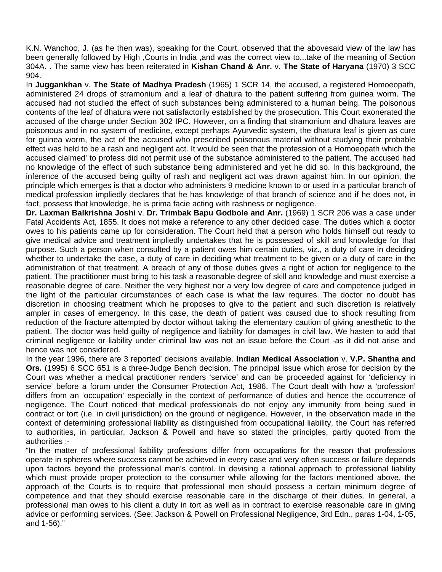K.N. Wanchoo, J. (as he then was), speaking for the Court, observed that the abovesaid view of the law has been generally followed by High ,Courts in India ,and was the correct view to...take of the meaning of Section 304A. . The same view has been reiterated in **Kishan Chand & Anr.** v. **The State of Haryana** (1970) 3 SCC 904.

In **Juggankhan** v. **The State of Madhya Pradesh** (1965) 1 SCR 14, the accused, a registered Homoeopath, administered 24 drops of stramonium and a leaf of dhatura to the patient suffering from guinea worm. The accused had not studied the effect of such substances being administered to a human being. The poisonous contents of the leaf of dhatura were not satisfactorily established by the prosecution. This Court exonerated the accused of the charge under Section 302 IPC. However, on a finding that stramonium and dhatura leaves are poisonous and in no system of medicine, except perhaps Ayurvedic system, the dhatura leaf is given as cure for guinea worm, the act of the accused who prescribed poisonous material without studying their probable effect was held to be a rash and negligent act. It would be seen that the profession of a Homoeopath which the accused claimed' to profess did not permit use of the substance administered to the patient. The accused had no knowledge of the effect of such substance being administered and yet he did so. In this background, the inference of the accused being guilty of rash and negligent act was drawn against him. In our opinion, the principle which emerges is that a doctor who administers 9 medicine known to or used in a particular branch of medical profession impliedly declares that he has knowledge of that branch of science and if he does not, in fact, possess that knowledge, he is prima facie acting with rashness or negligence.

**Dr. Laxman Balkrishna Joshi** v. **Dr. Trimbak Bapu Godbole and Anr.** (1969) 1 SCR 206 was a case under Fatal Accidents Act, 1855. It does not make a reference to any other decided case. The duties which a doctor owes to his patients came up for consideration. The Court held that a person who holds himself out ready to give medical advice and treatment impliedly undertakes that he is possessed of skill and knowledge for that purpose. Such a person when consulted by a patient owes him certain duties, viz., a duty of care in deciding whether to undertake the case, a duty of care in deciding what treatment to be given or a duty of care in the administration of that treatment. A breach of any of those duties gives a right of action for negligence to the patient. The practitioner must bring to his task a reasonable degree of skill and knowledge and must exercise a reasonable degree of care. Neither the very highest nor a very low degree of care and competence judged in the light of the particular circumstances of each case is what the law requires. The doctor no doubt has discretion in choosing treatment which he proposes to give to the patient and such discretion is relatively ampler in cases of emergency. In this case, the death of patient was caused due to shock resulting from reduction of the fracture attempted by doctor without taking the elementary caution of giving anesthetic to the patient. The doctor was held guilty of negligence and liability for damages in civil law. We hasten to add that criminal negligence or liability under criminal law was not an issue before the Court -as it did not arise and hence was not considered.

In the year 1996, there are 3 reported' decisions available. **Indian Medical Association** v. **V.P. Shantha and Ors.** (1995) 6 SCC 651 is a three-Judge Bench decision. The principal issue which arose for decision by the Court was whether a medical practitioner renders 'service' and can be proceeded against for 'deficiency in service' before a forum under the Consumer Protection Act, 1986. The Court dealt with how a 'profession' differs from an 'occupation' especially in the context of performance of duties and hence the occurrence of negligence. The Court noticed that medical professionals do not enjoy any immunity from being sued in contract or tort (i.e. in civil jurisdiction) on the ground of negligence. However, in the observation made in the context of determining professional liability as distinguished from occupational liability, the Court has referred to authorities, in particular, Jackson & Powell and have so stated the principles, partly quoted from the authorities :-

"In the matter of professional liability professions differ from occupations for the reason that professions operate in spheres where success cannot be achieved in every case and very often success or failure depends upon factors beyond the professional man's control. In devising a rational approach to professional liability which must provide proper protection to the consumer while allowing for the factors mentioned above, the approach of the Courts is to require that professional men should possess a certain minimum degree of competence and that they should exercise reasonable care in the discharge of their duties. In general, a professional man owes to his client a duty in tort as well as in contract to exercise reasonable care in giving advice or performing services. (See: Jackson & Powell on Professional Negligence, 3rd Edn., paras 1-04, 1-05, and 1-56)."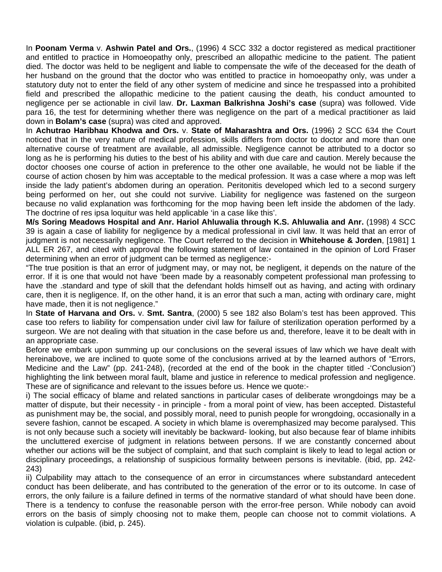In **Poonam Verma** v. **Ashwin Patel and Ors.**, (1996) 4 SCC 332 a doctor registered as medical practitioner and entitled to practice in Homoeopathy only, prescribed an allopathic medicine to the patient. The patient died. The doctor was held to be negligent and liable to compensate the wife of the deceased for the death of her husband on the ground that the doctor who was entitled to practice in homoeopathy only, was under a statutory duty not to enter the field of any other system of medicine and since he trespassed into a prohibited field and prescribed the allopathic medicine to the patient causing the death, his conduct amounted to negligence per se actionable in civil law. **Dr. Laxman Balkrishna Joshi's case** (supra) was followed. Vide para 16, the test for determining whether there was negligence on the part of a medical practitioner as laid down in **Bolam's case** (supra) was cited and approved.

In **Achutrao Haribhau Khodwa and Ors.** v. **State of Maharashtra and Ors.** (1996) 2 SCC 634 the Court noticed that in the very nature of medical profession, skills differs from doctor to doctor and more than one alternative course of treatment are available, all admissible. Negligence cannot be attributed to a doctor so long as he is performing his duties to the best of his ability and with due care and caution. Merely because the doctor chooses one course of action in preference to the other one available, he would not be liable if the course of action chosen by him was acceptable to the medical profession. It was a case where a mop was left inside the lady patient's abdomen during an operation. Peritonitis developed which led to a second surgery being performed on her, out she could not survive. Liability for negligence was fastened on the surgeon because no valid explanation was forthcoming for the mop having been left inside the abdomen of the lady. The doctrine of res ipsa loquitur was held applicable 'in a case like this'.

**M/s Soring Meadows Hospital and Anr. Hariol Ahluwalia through K.S. Ahluwalia and Anr.** (1998) 4 SCC 39 is again a case of liability for negligence by a medical professional in civil law. It was held that an error of judgment is not necessarily negligence. The Court referred to the decision in **Whitehouse & Jorden**, [1981] 1 ALL ER 267, and cited with approval the following statement of law contained in the opinion of Lord Fraser determining when an error of judgment can be termed as negligence:-

"The true position is that an error of judgment may, or may not, be negligent, it depends on the nature of the error. If it is one that would not have 'been made by a reasonably competent professional man professing to have the .standard and type of skill that the defendant holds himself out as having, and acting with ordinary care, then it is negligence. If, on the other hand, it is an error that such a man, acting with ordinary care, might have made, then it is not negligence."

In **State of Harvana and Ors.** v. **Smt. Santra**, (2000) 5 see 182 also Bolam's test has been approved. This case too refers to liability for compensation under civil law for failure of sterilization operation performed by a surgeon. We are not dealing with that situation in the case before us and, therefore, leave it to be dealt with in an appropriate case.

Before we embark upon summing up our conclusions on the several issues of law which we have dealt with hereinabove, we are inclined to quote some of the conclusions arrived at by the learned authors of "Errors, Medicine and the Law" (pp. 241-248), (recorded at the end of the book in the chapter titled -'Conclusion') highlighting the link between moral fault, blame and justice in reference to medical profession and negligence. These are of significance and relevant to the issues before us. Hence we quote:-

i) The social efficacy of blame and related sanctions in particular cases of deliberate wrongdoings may be a matter of dispute, but their necessity - in principle - from a moral point of view, has been accepted. Distasteful as punishment may be, the social, and possibly moral, need to punish people for wrongdoing, occasionally in a severe fashion, cannot be escaped. A society in which blame is overemphasized may become paralysed. This is not only because such a society will inevitably be backward- looking, but also because fear of blame inhibits the uncluttered exercise of judgment in relations between persons. If we are constantly concerned about whether our actions will be the subject of complaint, and that such complaint is likely to lead to legal action or disciplinary proceedings, a relationship of suspicious formality between persons is inevitable. (ibid, pp. 242- 243)

ii) Culpability may attach to the consequence of an error in circumstances where substandard antecedent conduct has been deliberate, and has contributed to the generation of the error or to its outcome. In case of errors, the only failure is a failure defined in terms of the normative standard of what should have been done. There is a tendency to confuse the reasonable person with the error-free person. While nobody can avoid errors on the basis of simply choosing not to make them, people can choose not to commit violations. A violation is culpable. (ibid, p. 245).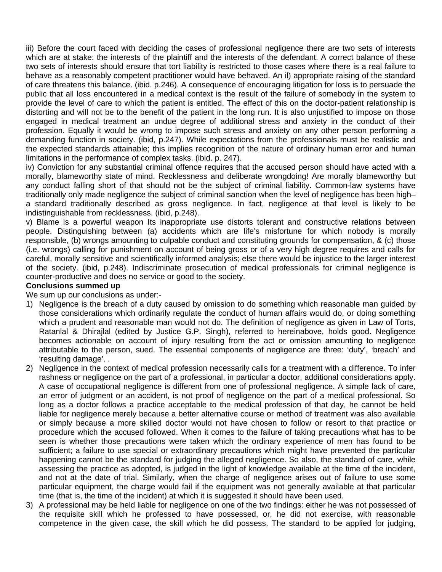iii) Before the court faced with deciding the cases of professional negligence there are two sets of interests which are at stake: the interests of the plaintiff and the interests of the defendant. A correct balance of these two sets of interests should ensure that tort liability is restricted to those cases where there is a real failure to behave as a reasonably competent practitioner would have behaved. An il) appropriate raising of the standard of care threatens this balance. (ibid. p.246). A consequence of encouraging litigation for loss is to persuade the public that all loss encountered in a medical context is the result of the failure of somebody in the system to provide the level of care to which the patient is entitled. The effect of this on the doctor-patient relationship is distorting and will not be to the benefit of the patient in the long run. It is also unjustified to impose on those engaged in medical treatment an undue degree of additional stress and anxiety in the conduct of their profession. Equally it would be wrong to impose such stress and anxiety on any other person performing a demanding function in society. (ibid, p.247). While expectations from the professionals must be realistic and the expected standards attainable; this implies recognition of the nature of ordinary human error and human limitations in the performance of complex tasks. (ibid. p. 247).

iv) Conviction for any substantial criminal offence requires that the accused person should have acted with a morally, blameworthy state of mind. Recklessness and deliberate wrongdoing! Are morally blameworthy but any conduct falling short of that should not be the subject of criminal liability. Common-law systems have traditionally only made negligence the subject of criminal sanction when the level of negligence has been high– a standard traditionally described as gross negligence. In fact, negligence at that level is likely to be indistinguishable from recklessness. (ibid, p.248).

v) Blame is a powerful weapon Its inappropriate use distorts tolerant and constructive relations between people. Distinguishing between (a) accidents which are life's misfortune for which nobody is morally responsible, (b) wrongs amounting to culpable conduct and constituting grounds for compensation, & (c) those (i.e. wrongs) calling for punishment on account of being gross or of a very high degree requires and calls for careful, morally sensitive and scientifically informed analysis; else there would be injustice to the larger interest of the society. (ibid, p.248). Indiscriminate prosecution of medical professionals for criminal negligence is counter-productive and does no service or good to the society.

## **Conclusions summed up**

We sum up our conclusions as under:-

- 1) Negligence is the breach of a duty caused by omission to do something which reasonable man guided by those considerations which ordinarily regulate the conduct of human affairs would do, or doing something which a prudent and reasonable man would not do. The definition of negligence as given in Law of Torts, Ratanlal & Dhirajlal (edited by Justice G.P. Singh), referred to hereinabove, holds good. Negligence becomes actionable on account of injury resulting from the act or omission amounting to negligence attributable to the person, sued. The essential components of negligence are three: 'duty', 'breach' and 'resulting damage'. .
- 2) Negligence in the context of medical profession necessarily calls for a treatment with a difference. To infer rashness or negligence on the part of a professional, in particular a doctor, additional considerations apply. A case of occupational negligence is different from one of professional negligence. A simple lack of care, an error of judgment or an accident, is not proof of negligence on the part of a medical professional. So long as a doctor follows a practice acceptable to the medical profession of that day, he cannot be held liable for negligence merely because a better alternative course or method of treatment was also available or simply because a more skilled doctor would not have chosen to follow or resort to that practice or procedure which the accused followed. When it comes to the failure of taking precautions what has to be seen is whether those precautions were taken which the ordinary experience of men has found to be sufficient; a failure to use special or extraordinary precautions which might have prevented the particular happening cannot be the standard for judging the alleged negligence. So also, the standard of care, while assessing the practice as adopted, is judged in the light of knowledge available at the time of the incident, and not at the date of trial. Similarly, when the charge of negligence arises out of failure to use some particular equipment, the charge would fail if the equipment was not generally available at that particular time (that is, the time of the incident) at which it is suggested it should have been used.
- 3) A professional may be held liable for negligence on one of the two findings: either he was not possessed of the requisite skill which he professed to have possessed, or, he did not exercise, with reasonable competence in the given case, the skill which he did possess. The standard to be applied for judging,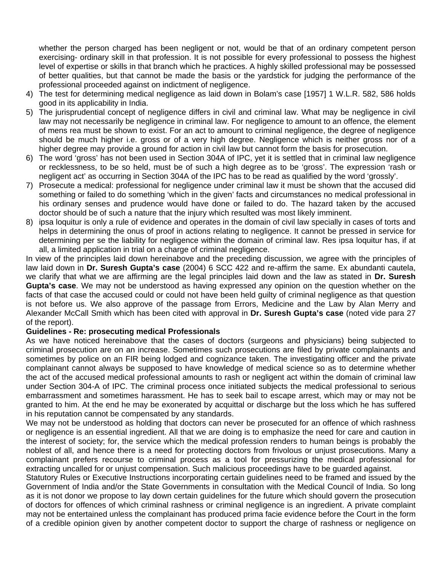whether the person charged has been negligent or not, would be that of an ordinary competent person exercising- ordinary skill in that profession. It is not possible for every professional to possess the highest level of expertise or skills in that branch which he practices. A highly skilled professional may be possessed of better qualities, but that cannot be made the basis or the yardstick for judging the performance of the professional proceeded against on indictment of negligence.

- 4) The test for determining medical negligence as laid down in Bolam's case [1957] 1 W.L.R. 582, 586 holds good in its applicability in India.
- 5) The jurisprudential concept of negligence differs in civil and criminal law. What may be negligence in civil law may not necessarily be negligence in criminal law. For negligence to amount to an offence, the element of mens rea must be shown to exist. For an act to amount to criminal negligence, the degree of negligence should be much higher i.e. gross or of a very high degree. Negligence which is neither gross nor of a higher degree may provide a ground for action in civil law but cannot form the basis for prosecution.
- 6) The word 'gross' has not been used in Section 304A of IPC, yet it is settled that in criminal law negligence or recklessness, to be so held, must be of such a high degree as to be 'gross'. The expression 'rash or negligent act' as occurring in Section 304A of the IPC has to be read as qualified by the word 'grossly'.
- 7) Prosecute a medical: professional for negligence under criminal law it must be shown that the accused did something or failed to do something 'which in the given' facts and circumstances no medical professional in his ordinary senses and prudence would have done or failed to do. The hazard taken by the accused doctor should be of such a nature that the injury which resulted was most likely imminent.
- 8) ipsa loquitur is only a rule of evidence and operates in the domain of civil law specially in cases of torts and helps in determining the onus of proof in actions relating to negligence. It cannot be pressed in service for determining per se the liability for negligence within the domain of criminal law. Res ipsa loquitur has, if at all, a limited application in trial on a charge of criminal negligence.

In view of the principles laid down hereinabove and the preceding discussion, we agree with the principles of law laid down in **Dr. Suresh Gupta's case** (2004) 6 SCC 422 and re-affirm the same. Ex abundanti cautela, we clarify that what we are affirming are the legal principles laid down and the law as stated in **Dr. Suresh Gupta's case**. We may not be understood as having expressed any opinion on the question whether on the facts of that case the accused could or could not have been held guilty of criminal negligence as that question is not before us. We also approve of the passage from Errors, Medicine and the Law by Alan Merry and Alexander McCall Smith which has been cited with approval in **Dr. Suresh Gupta's case** (noted vide para 27 of the report).

## **Guidelines - Re: prosecuting medical Professionals**

As we have noticed hereinabove that the cases of doctors (surgeons and physicians) being subjected to criminal prosecution are on an increase. Sometimes such prosecutions are filed by private complainants and sometimes by police on an FIR being lodged and cognizance taken. The investigating officer and the private complainant cannot always be supposed to have knowledge of medical science so as to determine whether the act of the accused medical professional amounts to rash or negligent act within the domain of criminal law under Section 304-A of IPC. The criminal process once initiated subjects the medical professional to serious embarrassment and sometimes harassment. He has to seek bail to escape arrest, which may or may not be granted to him. At the end he may be exonerated by acquittal or discharge but the loss which he has suffered in his reputation cannot be compensated by any standards.

We may not be understood as holding that doctors can never be prosecuted for an offence of which rashness or negligence is an essential ingredient. All that we are doing is to emphasize the need for care and caution in the interest of society; for, the service which the medical profession renders to human beings is probably the noblest of all, and hence there is a need for protecting doctors from frivolous or unjust prosecutions. Many a complainant prefers recourse to criminal process as a tool for pressurizing the medical professional for extracting uncalled for or unjust compensation. Such malicious proceedings have to be guarded against.

Statutory Rules or Executive Instructions incorporating certain guidelines need to be framed and issued by the Government of India and/or the State Governments in consultation with the Medical Council of India. So long as it is not donor we propose to lay down certain guidelines for the future which should govern the prosecution of doctors for offences of which criminal rashness or criminal negligence is an ingredient. A private complaint may not be entertained unless the complainant has produced prima facie evidence before the Court in the form of a credible opinion given by another competent doctor to support the charge of rashness or negligence on